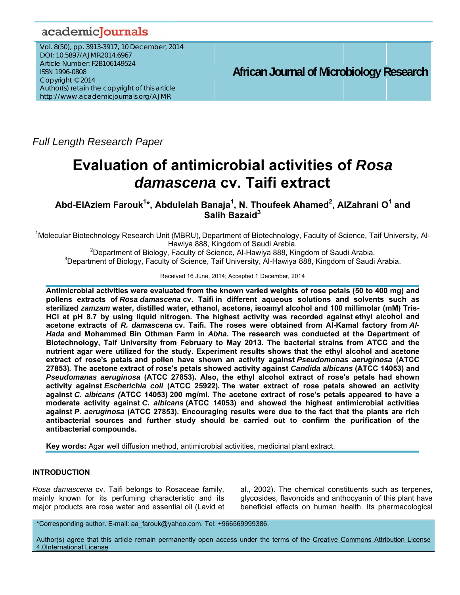## academicJournals

Vol. 8(50), pp. 3913-3917, 10 December, 2014 DOI: 10.5897/AJMR2014.6967 Article Number: F2B106149524 **ISSN 1996-0808** Copyright © 2014 Author(s) retain the copyright of this article http://www.academicjournals.org/AJMR

**African Journal of Microbiology Research** 

**Full Length Research Paper** 

# **Evaluation of antimicrobial activities of Rosa** damascena cv. Taifi extract

Abd-ElAziem Farouk<sup>1\*</sup>, Abdulelah Banaja<sup>1</sup>, N. Thoufeek Ahamed<sup>2</sup>, AlZahrani O<sup>1</sup> and Salih Bazaid<sup>3</sup>

<sup>1</sup>Molecular Biotechnology Research Unit (MBRU), Department of Biotechnology, Faculty of Science, Taif University, Al-Hawiya 888, Kingdom of Saudi Arabia.

<sup>2</sup>Department of Biology, Faculty of Science, Al-Hawiya 888, Kingdom of Saudi Arabia. <sup>3</sup>Department of Biology, Faculty of Science, Taif University, Al-Hawiya 888, Kingdom of Saudi Arabia.

Received 16 June, 2014; Accepted 1 December, 2014

Antimicrobial activities were evaluated from the known varied weights of rose petals (50 to 400 mg) and pollens extracts of Rosa damascena cv. Taifi in different aqueous solutions and solvents such as sterilized zamzam water, distilled water, ethanol, acetone, isoamyl alcohol and 100 millimolar (mM) Tris-HCl at pH 8.7 by using liquid nitrogen. The highest activity was recorded against ethyl alcohol and acetone extracts of R. damascena cv. Taifi. The roses were obtained from Al-Kamal factory from Al-Hada and Mohammed Bin Othman Farm in Abha. The research was conducted at the Department of Biotechnology, Taif University from February to May 2013. The bacterial strains from ATCC and the nutrient agar were utilized for the study. Experiment results shows that the ethyl alcohol and acetone extract of rose's petals and pollen have shown an activity against Pseudomonas aeruginosa (ATCC 27853). The acetone extract of rose's petals showed activity against Candida albicans (ATCC 14053) and Pseudomanas aeruginosa (ATCC 27853). Also, the ethyl alcohol extract of rose's petals had shown activity against Escherichia coli (ATCC 25922). The water extract of rose petals showed an activity against C. albicans (ATCC 14053) 200 mg/ml. The acetone extract of rose's petals appeared to have a moderate activity against C. albicans (ATCC 14053) and showed the highest antimicrobial activities against P. aeruginosa (ATCC 27853). Encouraging results were due to the fact that the plants are rich antibacterial sources and further study should be carried out to confirm the purification of the antibacterial compounds.

Key words: Agar well diffusion method, antimicrobial activities, medicinal plant extract.

## **INTRODUCTION**

Rosa damascena cv. Taifi belongs to Rosaceae family, mainly known for its perfuming characteristic and its major products are rose water and essential oil (Lavid et al., 2002). The chemical constituents such as terpenes, glycosides, flavonoids and anthocyanin of this plant have beneficial effects on human health. Its pharmacological

\*Corresponding author. E-mail: aa farouk@yahoo.com. Tel: +966569999386.

Author(s) agree that this article remain permanently open access under the terms of the Creative Commons Attribution License 4.0International License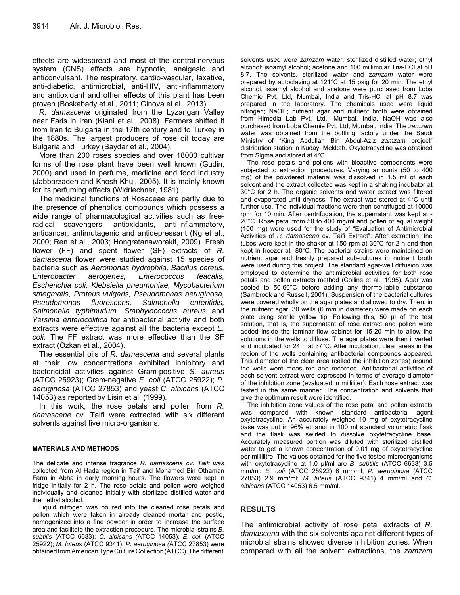effects are widespread and most of the central nervous system (CNS) effects are hypnotic, analgesic and anticonvulsant. The respiratory, cardio-vascular, laxative, anti-diabetic, antimicrobial, anti-HIV, anti-inflammatory and antioxidant and other effects of this plant has been proven (Boskabady et al., 2011; Ginova et al., 2013).

*R. damascena* originated from the Lyzangan Valley near Faris in Iran (Kiani et al., 2008). Farmers shifted it from Iran to Bulgaria in the 17th century and to Turkey in the 1880s. The largest producers of rose oil today are Bulgaria and Turkey (Baydar et al., 2004).

More than 200 roses species and over 18000 cultivar forms of the rose plant have been well known (Gudin, 2000) and used in perfume, medicine and food industry (Jabbarzadeh and Khosh-Khui, 2005). It is mainly known for its perfuming effects (Widrlechner, 1981).

The medicinal functions of Rosaceae are partly due to the presence of phenolics compounds which possess a wide range of pharmacological activities such as freeradical scavengers, antioxidants, anti-inflammatory, anticancer, antimutagenic and antidepressant (Ng et al., 2000; Ren et al., 2003; Hongratanaworakit, 2009). Fresh flower (FF) and spent flower (SF) extracts of *R. damascena* flower were studied against 15 species of bacteria such as *Aeromonas hydrophila, Bacillus cereus, Enterobacter aerogenes, Enterococcus feacalis, Escherichia coli, Klebsiella pneumoniae, Mycobacterium smegmatis, Proteus vulgaris, Pseudomonas aeruginosa, Pseudomonas fluorescens, Salmonella enteritidis, Salmonella typhimurium, Staphylococcus aureus* and *Yersinia enterocolitica* for antibacterial activity and both extracts were effective against all the bacteria except *E. coli.* The FF extract was more effective than the SF extract (Özkan et al., 2004).

The essential oils of *R. damascena* and several plants at their low concentrations exhibited inhibitory and bactericidal activities against Gram-positive *S. aureus* (ATCC 25923); Gram-negative *E. coli* (ATCC 25922); *P. aeruginosa* (ATCC 27853) and yeast *C. albicans* (ATCC 14053) as reported by Lisin et al. (1999).

In this work, the rose petals and pollen from *R. damascene* cv. Taifi were extracted with six different solvents against five micro-organisms.

### **MATERIALS AND METHODS**

The delicate and intense fragrance *R. damascena cv. Taifi was* collected from Al Hada region in Taif and Mohamed Bin Othaman Farm in Abha in early morning hours. The flowers were kept in fridge initially for 2 h. The rose petals and pollen were weighed individually and cleaned initially with sterilized distilled water and then ethyl alcohol.

Liquid nitrogen was poured into the cleaned rose petals and pollen which were taken in already cleaned mortar and pestle, homogenized into a fine powder in order to increase the surface area and facilitate the extraction procedure. The microbial strains *B. subtilis* (ATCC 6633); *C. albicans (*ATCC 14053); *E. col*i (ATCC 25922); *M. luteus* (ATCC 9341); *P. aeruginosa (*ATCC 27853) were obtained from American Type Culture Collection (ATCC). The different

solvents used were *zamzam* water; sterilized distilled water; ethyl alcohol; isoamyl alcohol; acetone and 100 millimolar Tris-HCl at pH 8.7. The solvents, sterilized water and z*amzam* water were prepared by autoclaving at 121°C at 15 psig for 20 min. The ethyl alcohol, isoamyl alcohol and acetone were purchased from Loba Chemie Pvt. Ltd, Mumbai, India and Tris-HCl at pH 8.7 was prepared in the laboratory. The chemicals used were liquid nitrogen; NaOH; nutrient agar and nutrient broth were obtained from Himedia Lab Pvt. Ltd., Mumbai, India. NaOH was also purchased from Loba Chemie Pvt. Ltd, Mumbai, India. The *zamzam*  water was obtained from the bottling factory under the Saudi Ministry of "King Abdullah Bin Abdul-Aziz *zamzam* project" distribution station in Kuday, Mekkah. Oxytetracycline was obtained from Sigma and stored at 4°C.

The rose petals and pollens with bioactive components were subjected to extraction procedures. Varying amounts (50 to 400 mg) of the powdered material was dissolved in 1.5 ml of each solvent and the extract collected was kept in a shaking incubator at 30°C for 2 h. The organic solvents and water extract was filtered and evaporated until dryness. The extract was stored at 4°C until further use. The individual fractions were then centrifuged at 10000 rpm for 10 min. After centrifugation, the supernatant was kept at - 20°C. Rose petal from 50 to 400 mg/ml and pollen of equal weight (100 mg) were used for the study of "Evaluation of Antimicrobial Activities of *R. damascena* cv. Taifi Extract". After extraction, the tubes were kept in the shaker at 150 rpm at 30°C for 2 h and then kept in freezer at -80°C. The bacterial strains were maintained on nutrient agar and freshly prepared sub-cultures in nutrient broth were used during this project. The standard agar-well diffusion was employed to determine the antimicrobial activities for both rose petals and pollen extracts method (Collins et al., 1995). Agar was cooled to 50-60°C before adding any thermo-labile substance (Sambrook and Russell, 2001). Suspension of the bacterial cultures were covered wholly on the agar plates and allowed to dry. Then, in the nutrient agar, 30 wells (6 mm in diameter) were made on each plate using sterile yellow tip. Following this, 50 µl of the test solution, that is, the supernatant of rose extract and pollen were added inside the laminar flow cabinet for 15-20 min to allow the solutions in the wells to diffuse. The agar plates were then inverted and incubated for 24 h at 37°C. After incubation, clear areas in the region of the wells containing antibacterial compounds appeared. This diameter of the clear area (called the inhibition zones) around the wells were measured and recorded. Antibacterial activities of each solvent extract were expressed in terms of average diameter of the inhibition zone (evaluated in milliliter). Each rose extract was tested in the same manner. The concentration and solvents that give the optimum result were identified.

The inhibition zone values of the rose petal and pollen extracts was compared with known standard antibacterial agent oxytetracycline. An accurately weighed 10 mg of oxytetracycline base was put in 96% ethanol in 100 ml standard volumetric flask and the flask was swirled to dissolve oxytetracycline base. Accurately measured portion was diluted with sterilized distilled water to get a known concentration of 0.01 mg of oxytetracycline per millilitre. The values obtained for the five tested microorganisms with oxytetracycline at 1.0 µl/ml are *B. subtilis* (ATCC 6633) 3.5 mm/ml; *E. coli* (ATCC 25922) 6 mm/ml; *P. aeruginosa* (ATCC 27853) 2.9 mm/ml; *M. luteus* (ATCC 9341) 4 mm/ml and *C. albicans* (ATCC 14053) 6.5 mm/ml.

### **RESULTS**

The antimicrobial activity of rose petal extracts of *R. damascena* with the six solvents against different types of microbial strains showed diverse inhibition zones. When compared with all the solvent extractions, the *zamzam*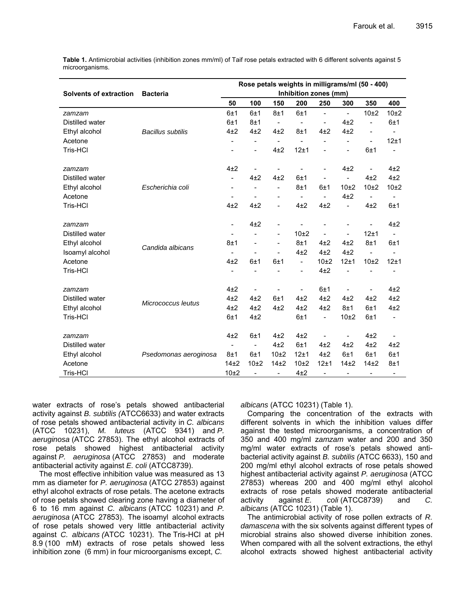**Table 1.** Antimicrobial activities (inhibition zones mm/ml) of Taif rose petals extracted with 6 different solvents against 5 microorganisms.

|                                                         |                          | Rose petals weights in milligrams/ml (50 - 400)<br>Inhibition zones (mm) |                          |                          |                          |                          |                          |                          |                          |
|---------------------------------------------------------|--------------------------|--------------------------------------------------------------------------|--------------------------|--------------------------|--------------------------|--------------------------|--------------------------|--------------------------|--------------------------|
| <b>Solvents of extraction</b>                           | <b>Bacteria</b>          |                                                                          |                          |                          |                          |                          |                          |                          |                          |
|                                                         |                          | 50                                                                       | 100                      | 150                      | 200                      | 250                      | 300                      | 350                      | 400                      |
| zamzam                                                  | <b>Bacillus subtilis</b> | 6±1                                                                      | 6±1                      | 8±1                      | 6±1                      | $\overline{\phantom{a}}$ | $\overline{\phantom{a}}$ | 10±2                     | 10±2                     |
| Distilled water                                         |                          | 6±1                                                                      | 8±1                      | $\overline{a}$           |                          | $\overline{a}$           | $4+2$                    | $\overline{\phantom{0}}$ | 6±1                      |
| Ethyl alcohol                                           |                          | $4+2$                                                                    | $4+2$                    | $4\pm 2$                 | 8±1                      | $4+2$                    | $4+2$                    | $\overline{\phantom{0}}$ |                          |
| Acetone                                                 |                          | Ξ.                                                                       | $\overline{\phantom{a}}$ | $\overline{\phantom{a}}$ |                          | L,                       | $\overline{a}$           | $\overline{\phantom{a}}$ | 12±1                     |
| Tris-HCl                                                |                          |                                                                          | $\overline{\phantom{a}}$ | $4+2$                    | 12±1                     | L,                       | L,                       | 6±1                      |                          |
| zamzam                                                  |                          | $4+2$                                                                    |                          |                          |                          | L,                       | $4\pm 2$                 | $\overline{\phantom{a}}$ | $4\pm 2$                 |
| Distilled water                                         | Escherichia coli         | $\overline{\phantom{0}}$                                                 | $4+2$                    | $4\pm2$                  | 6±1                      | $\overline{a}$           | $\overline{a}$           | $4+2$                    | $4+2$                    |
| Ethyl alcohol                                           |                          | $\overline{\phantom{a}}$                                                 | $\overline{\phantom{a}}$ | $\overline{a}$           | 8±1                      | 6±1                      | 10±2                     | 10 <sub>±2</sub>         | 10±2                     |
| Acetone                                                 |                          |                                                                          |                          |                          | $\overline{\phantom{0}}$ | $\overline{a}$           | 4±2                      | $\blacksquare$           |                          |
| Tris-HCl                                                |                          | 4±2                                                                      | $4+2$                    | $\overline{a}$           | $4+2$                    | $4+2$                    | $\overline{a}$           | $4+2$                    | 6±1                      |
| zamzam                                                  | Candida albicans         | $\qquad \qquad \blacksquare$                                             | $4\pm 2$                 | $\overline{a}$           |                          |                          |                          |                          | 4±2                      |
| Distilled water                                         |                          |                                                                          |                          | $\overline{\phantom{a}}$ | 10 <sub>±2</sub>         | $\overline{a}$           |                          | 12±1                     |                          |
| Ethyl alcohol<br>Isoamyl alcohol<br>Acetone<br>Tris-HCI |                          | 8±1                                                                      |                          | $\overline{a}$           | 8±1                      | $4+2$                    | $4+2$                    | 8±1                      | 6±1                      |
|                                                         |                          | $\frac{1}{2}$                                                            |                          | $\overline{a}$           | 4±2                      | $4+2$                    | $4+2$                    | $\frac{1}{2}$            |                          |
|                                                         |                          | $4+2$                                                                    | 6±1                      | 6±1                      | $\overline{\phantom{0}}$ | 10±2                     | 12±1                     | 10±2                     | 12±1                     |
|                                                         |                          | $\overline{a}$                                                           |                          |                          |                          | $4+2$                    |                          |                          |                          |
| zamzam                                                  | Micrococcus leutus       | $4\pm 2$                                                                 |                          |                          |                          | 6±1                      |                          |                          | $4\pm 2$                 |
| Distilled water                                         |                          | $4\pm 2$                                                                 | $4\pm 2$                 | 6±1                      | $4+2$                    | $4\pm 2$                 | $4\pm 2$                 | $4\pm 2$                 | $4\pm 2$                 |
| Ethyl alcohol                                           |                          | $4\pm 2$                                                                 | $4+2$                    | $4\pm 2$                 | $4+2$                    | $4+2$                    | 8±1                      | 6±1                      | $4+2$                    |
| Tris-HCl                                                |                          | 6±1                                                                      | 4±2                      |                          | 6±1                      | $\overline{a}$           | 10±2                     | 6±1                      | $\qquad \qquad -$        |
| zamzam                                                  |                          | $4+2$                                                                    | 6±1                      | $4\pm 2$                 | $4\pm 2$                 | $\overline{a}$           | $\overline{\phantom{0}}$ | $4\pm 2$                 |                          |
| Distilled water                                         | Psedomonas aeroginosa    | $\blacksquare$                                                           | $\overline{a}$           | $4\pm 2$                 | 6±1                      | $4\pm 2$                 | 4±2                      | $4+2$                    | $4\pm 2$                 |
| Ethyl alcohol                                           |                          | 8±1                                                                      | 6±1                      | 10±2                     | 12±1                     | $4+2$                    | 6±1                      | 6±1                      | 6±1                      |
| Acetone                                                 |                          | 14 <sub>±2</sub>                                                         | 10 <sub>±2</sub>         | 14 <sub>±2</sub>         | 10±2                     | 12±1                     | 14 <sub>±2</sub>         | 14 <sub>±2</sub>         | 8±1                      |
| Tris-HCl                                                |                          | 10±2                                                                     | $\overline{\phantom{a}}$ | $\overline{\phantom{a}}$ | 4±2                      | $\overline{a}$           | $\overline{\phantom{a}}$ | $\overline{\phantom{a}}$ | $\overline{\phantom{a}}$ |

water extracts of rose's petals showed antibacterial activity against *B. subtilis (*ATCC6633) and water extracts of rose petals showed antibacterial activity in *C. albicans* (ATCC 10231), *M. luteus* (ATCC 9341) and *P. aeruginosa* (ATCC 27853). The ethyl alcohol extracts of rose petals showed highest antibacterial activity against *P. aeruginosa* (ATCC 27853) and moderate antibacterial activity against *E. coli* (ATCC8739).

The most effective inhibition value was measured as 13 mm as diameter for *P. aeruginosa* (ATCC 27853) against ethyl alcohol extracts of rose petals. The acetone extracts of rose petals showed clearing zone having a diameter of 6 to 16 mm against *C. albicans* (ATCC 10231) and *P. aeruginosa* (ATCC 27853). The isoamyl alcohol extracts of rose petals showed very little antibacterial activity against *C. albicans (*ATCC 10231). The Tris-HCl at pH 8.9 (100 mM) extracts of rose petals showed less inhibition zone (6 mm) in four microorganisms except, *C.*

*albicans* (ATCC 10231) (Table 1).

Comparing the concentration of the extracts with different solvents in which the inhibition values differ against the tested microorganisms, a concentration of 350 and 400 mg/ml z*amzam* water and 200 and 350 mg/ml water extracts of rose's petals showed antibacterial activity against *B. subtilis (*ATCC 6633), 150 and 200 mg/ml ethyl alcohol extracts of rose petals showed highest antibacterial activity against *P. aeruginosa* (ATCC 27853) whereas 200 and 400 mg/ml ethyl alcohol extracts of rose petals showed moderate antibacterial activity against *E. coli* (ATCC8739) and *C. albicans* (ATCC 10231) (Table 1).

The antimicrobial activity of rose pollen extracts of *R. damascena* with the six solvents against different types of microbial strains also showed diverse inhibition zones. When compared with all the solvent extractions, the ethyl alcohol extracts showed highest antibacterial activity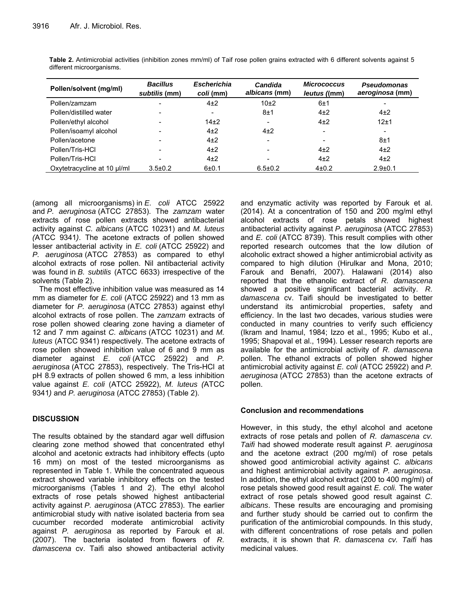| Pollen/solvent (mg/ml)      | <b>Bacillus</b><br>subtilis (mm) | <b>Escherichia</b><br>coli (mm) | Candida<br>albicans (mm) | <b>Micrococcus</b><br><i>leutus ((mm)</i> | <b>Pseudomonas</b><br>aeroginosa (mm) |
|-----------------------------|----------------------------------|---------------------------------|--------------------------|-------------------------------------------|---------------------------------------|
| Pollen/zamzam               |                                  | $4\pm 2$                        | 10 <sub>±2</sub>         | 6±1                                       |                                       |
| Pollen/distilled water      |                                  | $\overline{\phantom{0}}$        | 8±1                      | $4\pm 2$                                  | $4\pm 2$                              |
| Pollen/ethyl alcohol        |                                  | 14 <sub>±2</sub>                | $\overline{\phantom{a}}$ | $4\pm 2$                                  | 12±1                                  |
| Pollen/isoamyl alcohol      |                                  | $4\pm 2$                        | $4\pm 2$                 | $\overline{\phantom{a}}$                  |                                       |
| Pollen/acetone              |                                  | $4\pm 2$                        | $\overline{\phantom{a}}$ | $\overline{\phantom{a}}$                  | 8±1                                   |
| Pollen/Tris-HCl             |                                  | $4\pm 2$                        | $\overline{\phantom{0}}$ | $4\pm 2$                                  | $4\pm 2$                              |
| Pollen/Tris-HCl             |                                  | $4\pm 2$                        | $\overline{\phantom{a}}$ | $4\pm 2$                                  | $4\pm 2$                              |
| Oxytetracycline at 10 µl/ml | $3.5 \pm 0.2$                    | $6 + 0.1$                       | $6.5 \pm 0.2$            | $4 + 0.2$                                 | $2.9 + 0.1$                           |

**Table 2.** Antimicrobial activities (inhibition zones mm/ml) of Taif rose pollen grains extracted with 6 different solvents against 5 different microorganisms.

(among all microorganisms) in *E. coli* ATCC 25922 and *P. aeruginosa* (ATCC 27853). The *zamzam* water extracts of rose pollen extracts showed antibacterial activity against *C. albicans* (ATCC 10231) and *M. luteus (*ATCC 9341*)*. The acetone extracts of pollen showed lesser antibacterial activity in *E. coli* (ATCC 25922) and *P. aeruginosa* (ATCC 27853) as compared to ethyl alcohol extracts of rose pollen. Nil antibacterial activity was found in *B. subtilis* (ATCC 6633) irrespective of the solvents (Table 2).

The most effective inhibition value was measured as 14 mm as diameter for *E. coli* (ATCC 25922) and 13 mm as diameter for *P. aeruginosa* (ATCC 27853) against ethyl alcohol extracts of rose pollen. The *zamzam* extracts of rose pollen showed clearing zone having a diameter of 12 and 7 mm against *C. albicans* (ATCC 10231) and *M. luteus* (ATCC 9341) respectively. The acetone extracts of rose pollen showed inhibition value of 6 and 9 mm as diameter against *E. coli* (ATCC 25922) and *P. aeruginosa* (ATCC 27853), respectively. The Tris-HCl at pH 8.9 extracts of pollen showed 6 mm, a less inhibition value against *E. coli* (ATCC 25922), *M. luteus (*ATCC 9341*)* and *P. aeruginosa* (ATCC 27853) (Table 2).

## **DISCUSSION**

The results obtained by the standard agar well diffusion clearing zone method showed that concentrated ethyl alcohol and acetonic extracts had inhibitory effects (upto 16 mm) on most of the tested microorganisms as represented in Table 1. While the concentrated aqueous extract showed variable inhibitory effects on the tested microorganisms (Tables 1 and 2). The ethyl alcohol extracts of rose petals showed highest antibacterial activity against *P. aeruginosa* (ATCC 27853). The earlier antimicrobial study with native isolated bacteria from sea cucumber recorded moderate antimicrobial activity against *P. aeruginosa* as reported by Farouk et al. (2007). The bacteria isolated from flowers of *R. damascena* cv. Taifi also showed antibacterial activity

and enzymatic activity was reported by Farouk et al. (2014). At a concentration of 150 and 200 mg/ml ethyl alcohol extracts of rose petals showed highest antibacterial activity against *P. aeruginosa* (ATCC 27853) and *E. coli* (ATCC 8739). This result complies with other reported research outcomes that the low dilution of alcoholic extract showed a higher antimicrobial activity as compared to high dilution (Hirulkar and Mona, 2010; Farouk and Benafri, 2007). Halawani (2014) also reported that the ethanolic extract of *R. damascena*  showed a positive significant bacterial activity. *R. damascena* cv. Taifi should be investigated to better understand its antimicrobial properties, safety and efficiency. In the last two decades, various studies were conducted in many countries to verify such efficiency (Ikram and Inamul, 1984; Izzo et al., 1995; Kubo et al., 1995; Shapoval et al., 1994). Lesser research reports are available for the antimicrobial activity of *R. damascena*  pollen. The ethanol extracts of pollen showed higher antimicrobial activity against *E. coli* (ATCC 25922) and *P. aeruginosa* (ATCC 27853) than the acetone extracts of pollen.

## **Conclusion and recommendations**

However, in this study, the ethyl alcohol and acetone extracts of rose petals and pollen of *R. damascena cv. Taifi* had showed moderate result against *P. aeruginosa* and the acetone extract (200 mg/ml) of rose petals showed good antimicrobial activity against *C. albicans* and highest antimicrobial activity against *P. aeruginosa*. In addition, the ethyl alcohol extract (200 to 400 mg/ml) of rose petals showed good result against *E. coli.* The water extract of rose petals showed good result against *C. albicans*. These results are encouraging and promising and further study should be carried out to confirm the purification of the antimicrobial compounds. In this study, with different concentrations of rose petals and pollen extracts, it is shown that *R. damascena cv. Taifi* has medicinal values.